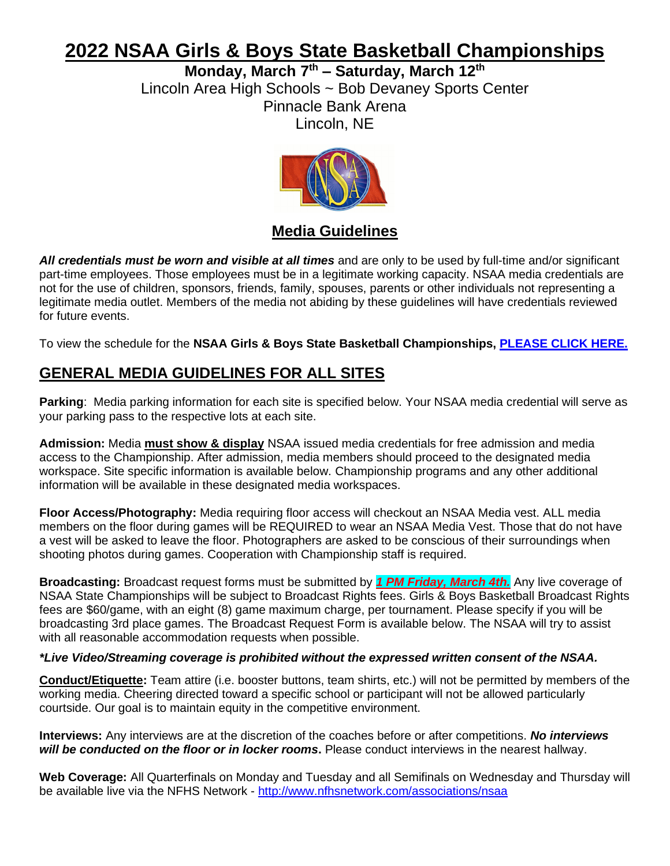# **2022 NSAA Girls & Boys State Basketball Championships**

**Monday, March 7 th – Saturday, March 12 th** Lincoln Area High Schools ~ Bob Devaney Sports Center Pinnacle Bank Arena Lincoln, NE



#### **Media Guidelines**

*All credentials must be worn and visible at all times* and are only to be used by full-time and/or significant part-time employees. Those employees must be in a legitimate working capacity. NSAA media credentials are not for the use of children, sponsors, friends, family, spouses, parents or other individuals not representing a legitimate media outlet. Members of the media not abiding by these guidelines will have credentials reviewed for future events.

To view the schedule for the **NSAA Girls & Boys State Basketball Championships, [PLEASE CLICK HERE.](https://nsaahome.org/wp-content/uploads/2022/02/2022-Basketball-Schedule-Sessions.pdf)**

### **GENERAL MEDIA GUIDELINES FOR ALL SITES**

**Parking**: Media parking information for each site is specified below. Your NSAA media credential will serve as your parking pass to the respective lots at each site.

**Admission:** Media **must show & display** NSAA issued media credentials for free admission and media access to the Championship. After admission, media members should proceed to the designated media workspace. Site specific information is available below. Championship programs and any other additional information will be available in these designated media workspaces.

**Floor Access/Photography:** Media requiring floor access will checkout an NSAA Media vest. ALL media members on the floor during games will be REQUIRED to wear an NSAA Media Vest. Those that do not have a vest will be asked to leave the floor. Photographers are asked to be conscious of their surroundings when shooting photos during games. Cooperation with Championship staff is required.

**Broadcasting:** Broadcast request forms must be submitted by *1 PM Friday, March 4th.* Any live coverage of NSAA State Championships will be subject to Broadcast Rights fees. Girls & Boys Basketball Broadcast Rights fees are \$60/game, with an eight (8) game maximum charge, per tournament. Please specify if you will be broadcasting 3rd place games. The Broadcast Request Form is available below. The NSAA will try to assist with all reasonable accommodation requests when possible.

#### *\*Live Video/Streaming coverage is prohibited without the expressed written consent of the NSAA.*

**Conduct/Etiquette:** Team attire (i.e. booster buttons, team shirts, etc.) will not be permitted by members of the working media. Cheering directed toward a specific school or participant will not be allowed particularly courtside. Our goal is to maintain equity in the competitive environment.

**Interviews:** Any interviews are at the discretion of the coaches before or after competitions. *No interviews will be conducted on the floor or in locker rooms***.** Please conduct interviews in the nearest hallway.

**Web Coverage:** All Quarterfinals on Monday and Tuesday and all Semifinals on Wednesday and Thursday will be available live via the NFHS Network - <http://www.nfhsnetwork.com/associations/nsaa>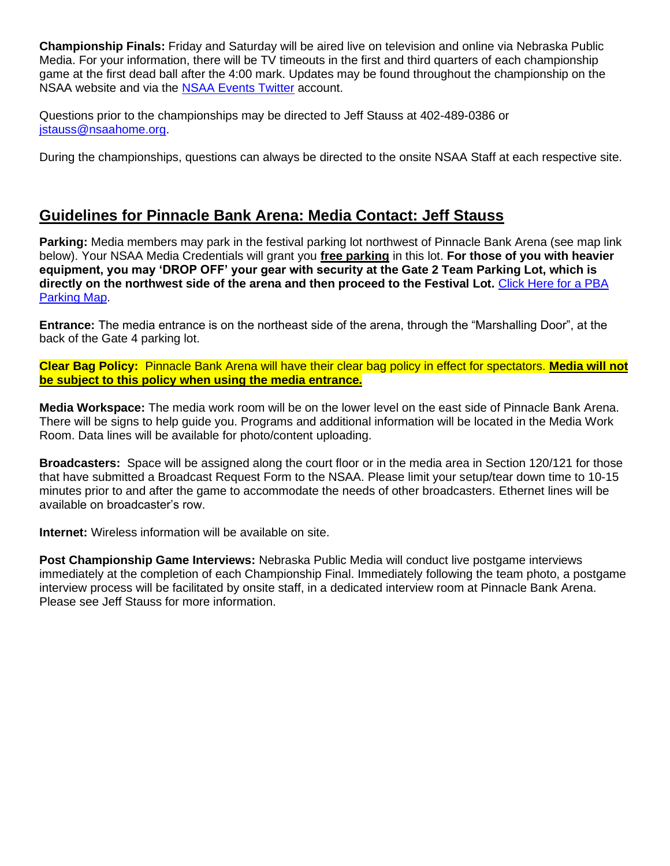**Championship Finals:** Friday and Saturday will be aired live on television and online via Nebraska Public Media. For your information, there will be TV timeouts in the first and third quarters of each championship game at the first dead ball after the 4:00 mark. Updates may be found throughout the championship on the NSAA website and via the [NSAA Events Twitter](http://www.twitter.com/nsaaevents) account.

Questions prior to the championships may be directed to Jeff Stauss at 402-489-0386 or [jstauss@nsaahome.org.](mailto:jstauss@nsaahome.org)

During the championships, questions can always be directed to the onsite NSAA Staff at each respective site.

#### **Guidelines for Pinnacle Bank Arena: Media Contact: Jeff Stauss**

**Parking:** Media members may park in the festival parking lot northwest of Pinnacle Bank Arena (see map link below). Your NSAA Media Credentials will grant you **free parking** in this lot. **For those of you with heavier equipment, you may 'DROP OFF' your gear with security at the Gate 2 Team Parking Lot, which is directly on the northwest side of the arena and then proceed to the Festival Lot.** [Click Here for a PBA](http://nsaahome.org/wp-content/uploads/2016/10/2016-PBA-Map.pdf)  [Parking Map.](http://nsaahome.org/wp-content/uploads/2016/10/2016-PBA-Map.pdf)

**Entrance:** The media entrance is on the northeast side of the arena, through the "Marshalling Door", at the back of the Gate 4 parking lot.

**Clear Bag Policy:** Pinnacle Bank Arena will have their clear bag policy in effect for spectators. **Media will not be subject to this policy when using the media entrance.**

**Media Workspace:** The media work room will be on the lower level on the east side of Pinnacle Bank Arena. There will be signs to help guide you. Programs and additional information will be located in the Media Work Room. Data lines will be available for photo/content uploading.

**Broadcasters:** Space will be assigned along the court floor or in the media area in Section 120/121 for those that have submitted a Broadcast Request Form to the NSAA. Please limit your setup/tear down time to 10-15 minutes prior to and after the game to accommodate the needs of other broadcasters. Ethernet lines will be available on broadcaster's row.

**Internet:** Wireless information will be available on site.

**Post Championship Game Interviews:** Nebraska Public Media will conduct live postgame interviews immediately at the completion of each Championship Final. Immediately following the team photo, a postgame interview process will be facilitated by onsite staff, in a dedicated interview room at Pinnacle Bank Arena. Please see Jeff Stauss for more information.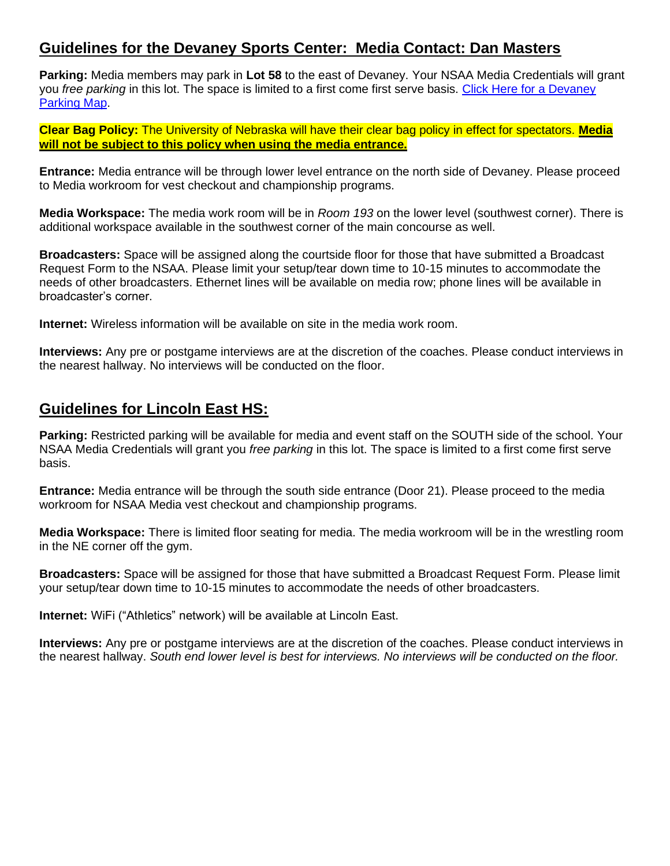#### **Guidelines for the Devaney Sports Center: Media Contact: Dan Masters**

**Parking:** Media members may park in **Lot 58** to the east of Devaney. Your NSAA Media Credentials will grant you *free parking* in this lot. The space is limited to a first come first serve basis. [Click Here for a Devaney](https://nsaahome.org/wp-content/uploads/2022/02/Devaney-Parking-Map-scaled.jpg)  [Parking Map.](https://nsaahome.org/wp-content/uploads/2022/02/Devaney-Parking-Map-scaled.jpg)

**Clear Bag Policy:** The University of Nebraska will have their clear bag policy in effect for spectators. **Media will not be subject to this policy when using the media entrance.**

**Entrance:** Media entrance will be through lower level entrance on the north side of Devaney. Please proceed to Media workroom for vest checkout and championship programs.

**Media Workspace:** The media work room will be in *Room 193* on the lower level (southwest corner). There is additional workspace available in the southwest corner of the main concourse as well.

**Broadcasters:** Space will be assigned along the courtside floor for those that have submitted a Broadcast Request Form to the NSAA. Please limit your setup/tear down time to 10-15 minutes to accommodate the needs of other broadcasters. Ethernet lines will be available on media row; phone lines will be available in broadcaster's corner.

**Internet:** Wireless information will be available on site in the media work room.

**Interviews:** Any pre or postgame interviews are at the discretion of the coaches. Please conduct interviews in the nearest hallway. No interviews will be conducted on the floor.

#### **Guidelines for Lincoln East HS:**

**Parking:** Restricted parking will be available for media and event staff on the SOUTH side of the school. Your NSAA Media Credentials will grant you *free parking* in this lot. The space is limited to a first come first serve basis.

**Entrance:** Media entrance will be through the south side entrance (Door 21). Please proceed to the media workroom for NSAA Media vest checkout and championship programs.

**Media Workspace:** There is limited floor seating for media. The media workroom will be in the wrestling room in the NE corner off the gym.

**Broadcasters:** Space will be assigned for those that have submitted a Broadcast Request Form. Please limit your setup/tear down time to 10-15 minutes to accommodate the needs of other broadcasters.

**Internet:** WiFi ("Athletics" network) will be available at Lincoln East.

**Interviews:** Any pre or postgame interviews are at the discretion of the coaches. Please conduct interviews in the nearest hallway. *South end lower level is best for interviews. No interviews will be conducted on the floor.*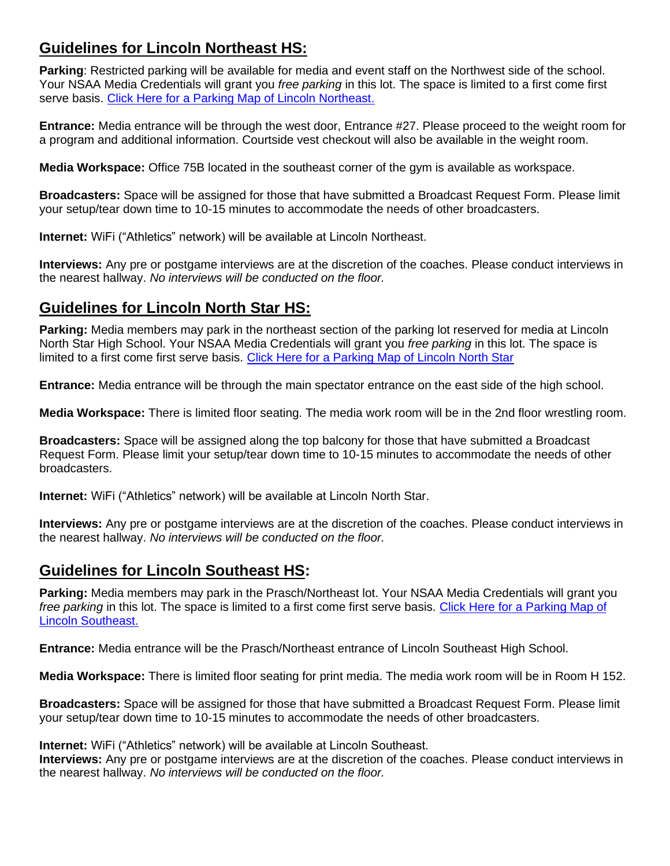#### **Guidelines for Lincoln Northeast HS:**

**Parking**: Restricted parking will be available for media and event staff on the Northwest side of the school. Your NSAA Media Credentials will grant you *free parking* in this lot. The space is limited to a first come first serve basis. [Click Here for a Parking Map of Lincoln Northeast.](http://nsaahome.org/textfile/volley/LNE.pdf)

**Entrance:** Media entrance will be through the west door, Entrance #27. Please proceed to the weight room for a program and additional information. Courtside vest checkout will also be available in the weight room.

**Media Workspace:** Office 75B located in the southeast corner of the gym is available as workspace.

**Broadcasters:** Space will be assigned for those that have submitted a Broadcast Request Form. Please limit your setup/tear down time to 10-15 minutes to accommodate the needs of other broadcasters.

**Internet:** WiFi ("Athletics" network) will be available at Lincoln Northeast.

**Interviews:** Any pre or postgame interviews are at the discretion of the coaches. Please conduct interviews in the nearest hallway. *No interviews will be conducted on the floor.*

### **Guidelines for Lincoln North Star HS:**

**Parking:** Media members may park in the northeast section of the parking lot reserved for media at Lincoln North Star High School. Your NSAA Media Credentials will grant you *free parking* in this lot. The space is limited to a first come first serve basis. [Click Here for a Parking Map of Lincoln North Star](http://nsaahome.org/textfile/volley/LNS.pdf)

**Entrance:** Media entrance will be through the main spectator entrance on the east side of the high school.

**Media Workspace:** There is limited floor seating. The media work room will be in the 2nd floor wrestling room.

**Broadcasters:** Space will be assigned along the top balcony for those that have submitted a Broadcast Request Form. Please limit your setup/tear down time to 10-15 minutes to accommodate the needs of other broadcasters.

**Internet:** WiFi ("Athletics" network) will be available at Lincoln North Star.

**Interviews:** Any pre or postgame interviews are at the discretion of the coaches. Please conduct interviews in the nearest hallway. *No interviews will be conducted on the floor.*

### **Guidelines for Lincoln Southeast HS:**

**Parking:** Media members may park in the Prasch/Northeast lot. Your NSAA Media Credentials will grant you *free parking* in this lot. The space is limited to a first come first serve basis. [Click Here for a Parking Map of](http://nsaahome.org/textfile/volley/LSE.pdf)  [Lincoln Southeast.](http://nsaahome.org/textfile/volley/LSE.pdf)

**Entrance:** Media entrance will be the Prasch/Northeast entrance of Lincoln Southeast High School.

**Media Workspace:** There is limited floor seating for print media. The media work room will be in Room H 152.

**Broadcasters:** Space will be assigned for those that have submitted a Broadcast Request Form. Please limit your setup/tear down time to 10-15 minutes to accommodate the needs of other broadcasters.

**Internet:** WiFi ("Athletics" network) will be available at Lincoln Southeast.

**Interviews:** Any pre or postgame interviews are at the discretion of the coaches. Please conduct interviews in the nearest hallway. *No interviews will be conducted on the floor.*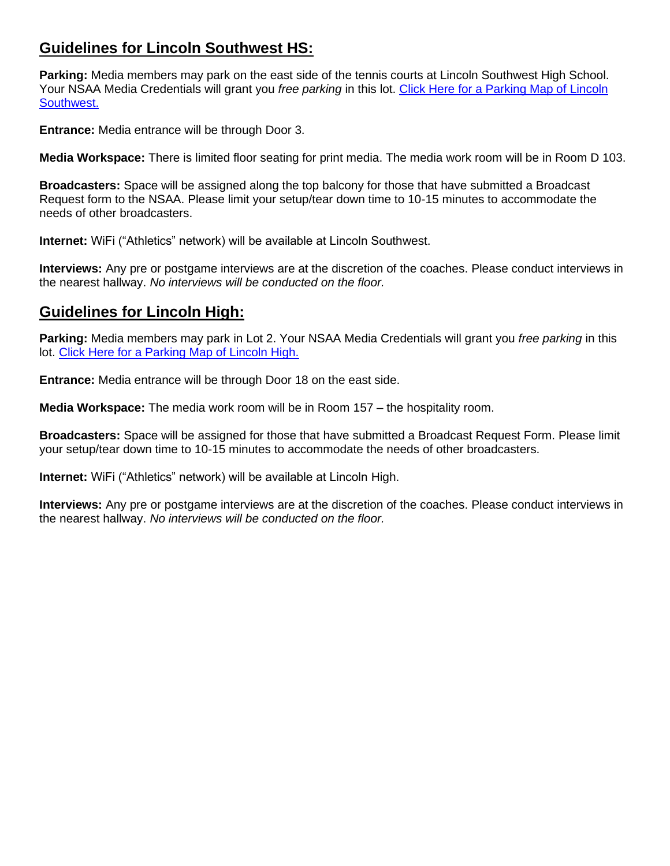#### **Guidelines for Lincoln Southwest HS:**

**Parking:** Media members may park on the east side of the tennis courts at Lincoln Southwest High School. Your NSAA Media Credentials will grant you *free parking* in this lot. [Click Here for a Parking Map of](http://nsaahome.org/textfile/volley/LSW.pdf) Lincoln [Southwest.](http://nsaahome.org/textfile/volley/LSW.pdf)

**Entrance:** Media entrance will be through Door 3.

**Media Workspace:** There is limited floor seating for print media. The media work room will be in Room D 103.

**Broadcasters:** Space will be assigned along the top balcony for those that have submitted a Broadcast Request form to the NSAA. Please limit your setup/tear down time to 10-15 minutes to accommodate the needs of other broadcasters.

**Internet:** WiFi ("Athletics" network) will be available at Lincoln Southwest.

**Interviews:** Any pre or postgame interviews are at the discretion of the coaches. Please conduct interviews in the nearest hallway. *No interviews will be conducted on the floor.*

#### **Guidelines for Lincoln High:**

**Parking:** Media members may park in Lot 2. Your NSAA Media Credentials will grant you *free parking* in this lot. [Click Here for a Parking Map of Lincoln High.](http://nsaahome.org/textfile/volley/LH.pdf)

**Entrance:** Media entrance will be through Door 18 on the east side.

**Media Workspace:** The media work room will be in Room 157 – the hospitality room.

**Broadcasters:** Space will be assigned for those that have submitted a Broadcast Request Form. Please limit your setup/tear down time to 10-15 minutes to accommodate the needs of other broadcasters.

**Internet:** WiFi ("Athletics" network) will be available at Lincoln High.

**Interviews:** Any pre or postgame interviews are at the discretion of the coaches. Please conduct interviews in the nearest hallway. *No interviews will be conducted on the floor.*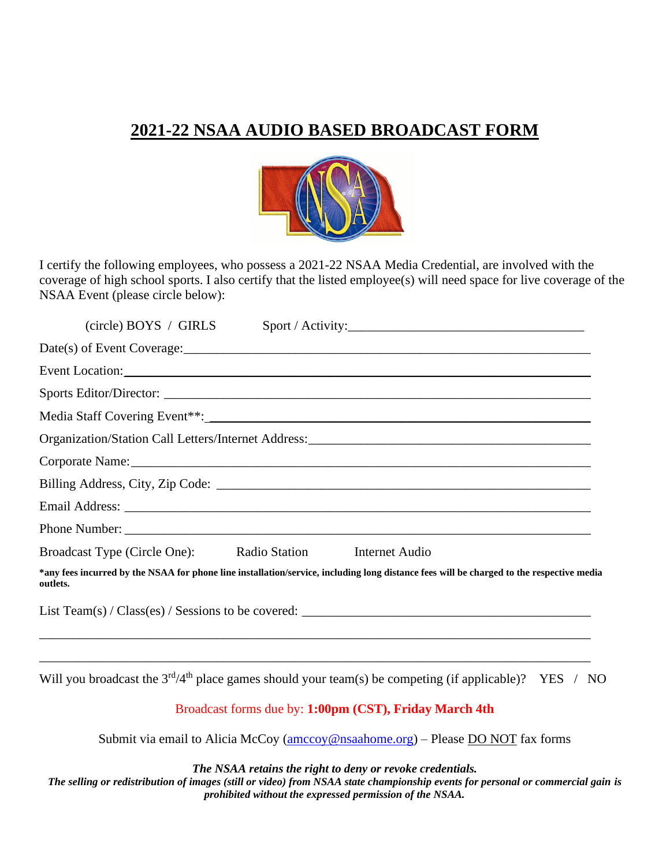## **2021-22 NSAA AUDIO BASED BROADCAST FORM**



I certify the following employees, who possess a 2021-22 NSAA Media Credential, are involved with the coverage of high school sports. I also certify that the listed employee(s) will need space for live coverage of the NSAA Event (please circle below):

| $(circle)$ BOYS / GIRLS<br>Sport / Activity:                                                                                                         |
|------------------------------------------------------------------------------------------------------------------------------------------------------|
|                                                                                                                                                      |
| Event Location:                                                                                                                                      |
|                                                                                                                                                      |
| Media Staff Covering Event <sup>**</sup> :                                                                                                           |
|                                                                                                                                                      |
|                                                                                                                                                      |
|                                                                                                                                                      |
|                                                                                                                                                      |
|                                                                                                                                                      |
| Broadcast Type (Circle One): Radio Station<br>Internet Audio                                                                                         |
| *any fees incurred by the NSAA for phone line installation/service, including long distance fees will be charged to the respective media<br>outlets. |
| List Team(s) / Class(es) / Sessions to be covered: $\Box$                                                                                            |
|                                                                                                                                                      |

Will you broadcast the  $3<sup>rd</sup>/4<sup>th</sup>$  place games should your team(s) be competing (if applicable)? YES / NO

#### Broadcast forms due by: **1:00pm (CST), Friday March 4th**

Submit via email to Alicia McCoy [\(amccoy@nsaahome.org\)](mailto:amccoy@nsaahome.org) – Please DO NOT fax forms

*The NSAA retains the right to deny or revoke credentials.*

*The selling or redistribution of images (still or video) from NSAA state championship events for personal or commercial gain is prohibited without the expressed permission of the NSAA.*